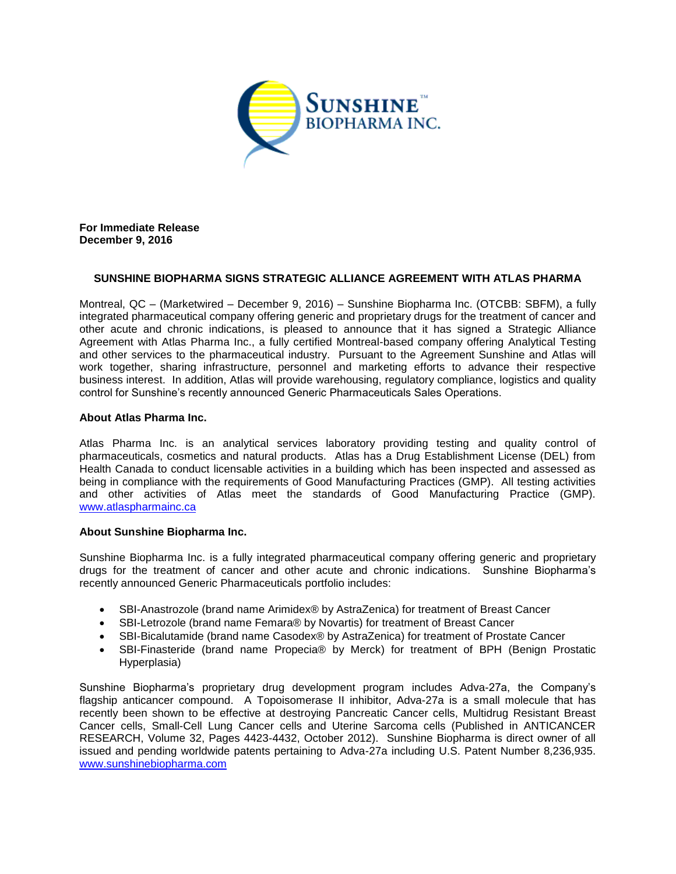

**For Immediate Release December 9, 2016**

# **SUNSHINE BIOPHARMA SIGNS STRATEGIC ALLIANCE AGREEMENT WITH ATLAS PHARMA**

Montreal, QC – (Marketwired – December 9, 2016) – Sunshine Biopharma Inc. (OTCBB: SBFM), a fully integrated pharmaceutical company offering generic and proprietary drugs for the treatment of cancer and other acute and chronic indications, is pleased to announce that it has signed a Strategic Alliance Agreement with Atlas Pharma Inc., a fully certified Montreal-based company offering Analytical Testing and other services to the pharmaceutical industry. Pursuant to the Agreement Sunshine and Atlas will work together, sharing infrastructure, personnel and marketing efforts to advance their respective business interest. In addition, Atlas will provide warehousing, regulatory compliance, logistics and quality control for Sunshine's recently announced Generic Pharmaceuticals Sales Operations.

### **About Atlas Pharma Inc.**

Atlas Pharma Inc. is an analytical services laboratory providing testing and quality control of pharmaceuticals, cosmetics and natural products. Atlas has a Drug Establishment License (DEL) from Health Canada to conduct licensable activities in a building which has been inspected and assessed as being in compliance with the requirements of Good Manufacturing Practices (GMP). All testing activities and other activities of Atlas meet the standards of Good Manufacturing Practice (GMP). [www.atlaspharmainc.ca](http://www.atlaspharmainc.ca/)

### **About Sunshine Biopharma Inc.**

Sunshine Biopharma Inc. is a fully integrated pharmaceutical company offering generic and proprietary drugs for the treatment of cancer and other acute and chronic indications. Sunshine Biopharma's recently announced Generic Pharmaceuticals portfolio includes:

- SBI-Anastrozole (brand name Arimidex® by AstraZenica) for treatment of Breast Cancer
- SBI-Letrozole (brand name Femara® by Novartis) for treatment of Breast Cancer
- SBI-Bicalutamide (brand name Casodex® by AstraZenica) for treatment of Prostate Cancer
- SBI-Finasteride (brand name Propecia® by Merck) for treatment of BPH (Benign Prostatic Hyperplasia)

Sunshine Biopharma's proprietary drug development program includes Adva-27a, the Company's flagship anticancer compound. A Topoisomerase II inhibitor, Adva-27a is a small molecule that has recently been shown to be effective at destroying Pancreatic Cancer cells, Multidrug Resistant Breast Cancer cells, Small-Cell Lung Cancer cells and Uterine Sarcoma cells (Published in ANTICANCER RESEARCH, Volume 32, Pages 4423-4432, October 2012). Sunshine Biopharma is direct owner of all issued and pending worldwide patents pertaining to Adva-27a including U.S. Patent Number 8,236,935. [www.sunshinebiopharma.com](http://www.sunshinebiopharma.com/)